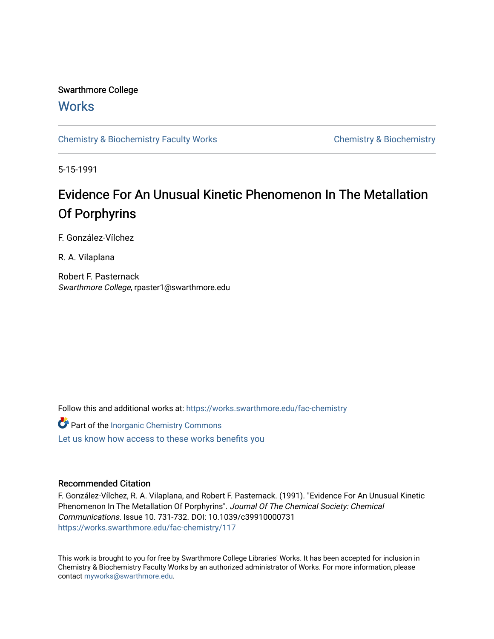## Swarthmore College

# **Works**

[Chemistry & Biochemistry Faculty Works](https://works.swarthmore.edu/fac-chemistry) Chemistry Chemistry & Biochemistry

5-15-1991

# Evidence For An Unusual Kinetic Phenomenon In The Metallation Of Porphyrins

F. González-Vílchez

R. A. Vilaplana

Robert F. Pasternack Swarthmore College, rpaster1@swarthmore.edu

Follow this and additional works at: [https://works.swarthmore.edu/fac-chemistry](https://works.swarthmore.edu/fac-chemistry?utm_source=works.swarthmore.edu%2Ffac-chemistry%2F117&utm_medium=PDF&utm_campaign=PDFCoverPages)

Part of the [Inorganic Chemistry Commons](http://network.bepress.com/hgg/discipline/137?utm_source=works.swarthmore.edu%2Ffac-chemistry%2F117&utm_medium=PDF&utm_campaign=PDFCoverPages)  [Let us know how access to these works benefits you](https://forms.gle/4MB8mE2GywC5965J8) 

## Recommended Citation

F. González-Vílchez, R. A. Vilaplana, and Robert F. Pasternack. (1991). "Evidence For An Unusual Kinetic Phenomenon In The Metallation Of Porphyrins". Journal Of The Chemical Society: Chemical Communications. Issue 10. 731-732. DOI: 10.1039/c39910000731 <https://works.swarthmore.edu/fac-chemistry/117>

This work is brought to you for free by Swarthmore College Libraries' Works. It has been accepted for inclusion in Chemistry & Biochemistry Faculty Works by an authorized administrator of Works. For more information, please contact [myworks@swarthmore.edu](mailto:myworks@swarthmore.edu).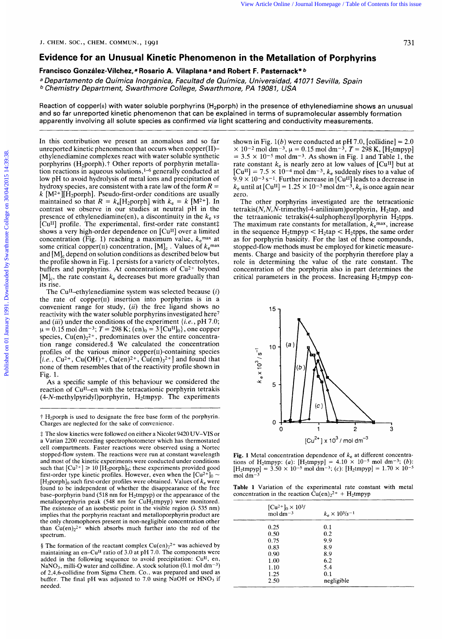## **Evidence for an Unusual Kinetic Phenomenon in the Metallation of Porphyrins**

### **Francisco Gonzalez-Vilchez,a Rosario A. Vilaplana** *a* **and Robert F. Pasternack"** *b*

*<sup>a</sup>Departamento de Quimica Inorganica, Facultad de Quimica, Universidad, 4 1071 Sevilla, Spain <sup>b</sup>Chemistry Department, Swarthmore College, Swarthmore, PA 19081, USA* 

Reaction of copper(ii) with water soluble porphyrins  $(H_2porph)$  in the presence of ethylenediamine shows an unusual and so far unreported kinetic phenomenon that can be explained in terms of supramolecular assembly formation apparently involving all solute species as confirmed *via* light scattering and conductivity measurements.

In this contribution we present an anomalous and so far unreported kinetic phenomenon that occurs when copper(I1) ethylenediamine complexes react with water soluble synthetic porphyrins (H<sub>2</sub>porph).<sup> $\dagger$ </sup> Other reports of porphyrin metallation reactions in aqueous solutions,<sup>1-6</sup> generally conducted at low pH to avoid hydrolysis of metal ions and precipitation of hydroxy species, are consistent with a rate law of the form *R* = k  $[M^{2+}][\hat{H}_{2}porph]$ . Pseudo-first-order conditions are usually maintained so that  $R = k_e[H_2 \text{popph}]$  with  $k_e = k [M^{2+}]$ . In contrast we observe in our studies at neutral pH in the presence of ethylenediamine(en), a discontinuity in the  $k_e$  *vs* [Cu<sup>II]</sup> profile. The experimental, first-order rate constant# shows a very high-order dependence on [Cu<sup>II</sup>] over a limited concentration (Fig. 1) reaching a maximum value,  $k_{e}^{max}$  at some critical copper(II) concentration,  $[M]_c$ . Values of  $k_e$ <sup>max</sup> and [MIc depend on solution conditions as described below but the profile shown in Fig. 1 persists for a variety of electrolytes, buffers and porphyrins. At concentrations of Cu<sup>2+</sup> beyond  $[M]_c$ , the rate constant  $k_e$  decreases but more gradually than its rise. From the section of the section of the section of **Portphysics** From **Contents for the section of Portphysics**<br> **Published Contrainers (Algorithmore College online and Robert F. Passimone Contents for the section of Portp** 

The Cu<sup>II</sup>-ethylenediamine system was selected because *(i)* the rate of copper $(n)$  insertion into porphyrins is in a convenient range for study, *(ii)* the free ligand shows no reactivity with the water soluble porphyrins investigated here7 and *(iii)* under the conditions of the experiment *{i.e.,* pH 7.0;  $\mu = 0.15$  mol dm<sup>-3</sup>;  $T = 298$  K;  $(en)_0 = 3$  [Cu<sup>II</sup>]<sub>0</sub>}, one copper species,  $Cu(en)_2^{2+}$ , predominates over the entire concentration range considered. **9** We calculated the concentration profiles of the various minor copper(I1)-containing species  $[i.e., Cu<sup>2+</sup>, Cu(OH)<sup>+</sup>, Cu(en)<sup>2+</sup>, Cu(en)<sup>2+</sup>]$  and found that none of them resembles that of the reactivity profile shown in Fig. 1.

**As** a specific sample of this behaviour we considered the reaction of Cu<sup>II</sup>-en with the tetracationic porphyrin tetrakis **(4-N-methylpyridyl)porphyrin,** H2tmpyp. The experiments

shown in Fig. 1(b) were conducted at pH 7.0, [collidine] =  $2.0$  $\times$  10<sup>-2</sup> mol dm<sup>-3</sup>,  $\mu$  = 0.15 mol dm<sup>-3</sup>, *T* = 298 K, [H<sub>2</sub>tmpyp]  $= 3.5 \times 10^{-5}$  mol dm<sup>-3</sup>. As shown in Fig. 1 and Table 1, the rate constant  $k_e$  is nearly zero at low values of [Cu<sup>II]</sup> but at  $[Cu^{II}]$  = 7.5  $\times$  10<sup>-4</sup> mol dm<sup>-3</sup>,  $k_e$  suddenly rises to a value of  $9.9 \times 10^{-3}$  s<sup>-1</sup>. Further increase in [Cu<sup>II</sup>] leads to a decrease in  $k_e$  until at [Cu<sup>II</sup>] = 1.25  $\times$  10<sup>-3</sup> mol dm<sup>-3</sup>,  $k_e$  is once again near zero.

The other porphyrins investigated are the tetracationic  $tetrakis(N, N, N-trimethyl-4-anilinium) porphyrin, H<sub>2</sub>tap, and$ the tetraanionic tetrakis(4-sulphophenyl)porphyrin H<sub>2</sub>tpps. The maximum rate constants for metallation,  $k_{\rm e}$ <sup>max</sup>, increase in the sequence  $H_2$ tmpyp  $\lt H_2$ tap  $\lt H_2$ tpps, the same order as for porphyrin basicity. For the last of these compounds, stopped-flow methods must be employed for kinetic measurements. Charge and basicity of the porphyrin therefore play a role in determining the value of the rate constant. The concentration of the porphyrin also in part determines the critical parameters in the process. Increasing  $H_2$ tmpyp con-



Fig. 1 Metal concentration dependence of  $k<sub>e</sub>$  at different concentrations of H<sub>2</sub>tmpyp: (a):  $[H_2Hmpyp] = 4.10 \times 10^{-5}$  mol dm<sup>-3</sup>; (b):  $[H_2{\text{tmpyp}}] = 3.50 \times 10^{-5} \text{ mol dm}^{-3}$ ; *(c)*:  $[H_2{\text{tmpyp}}] = 1.70 \times 10^{-5}$ mol dm-'

**Table 1** Variation of the experimental rate constant with metal concentration in the reaction  $Cu(en)_2^{2+} + H_2$ tmpyp

| $[Cu^{2+}]_0 \times 10^{3}$ /<br>mol $dm^{-3}$ | $k_e \times 10^{3}/s^{-1}$ |  |
|------------------------------------------------|----------------------------|--|
| 0.25                                           | 0.1                        |  |
| 0.50                                           | 0.2                        |  |
| 0.75                                           | 9.9                        |  |
| 0.83                                           | 8.9                        |  |
| 0.90                                           | 8.9                        |  |
| 1.00                                           | 6.2                        |  |
| 1.10                                           | 5.4                        |  |
| 1.25                                           | 0.1                        |  |
| 2.50                                           | negligible                 |  |
|                                                |                            |  |

<sup>&</sup>lt;sup>†</sup> H<sub>2</sub>porph is used to designate the free base form of the porphyrin. Charges are neglected for the sake of convenience.

 $\ddagger$  The slow kinetics were followed on either a Nicolet 9420 UV-VIS or a Varian 2200 recording spectrophotometer which has thermostated cell compartments. Faster reactions were observed using a Nortec stopped-flow system. The reactions were run at constant wavelength and most of the kinetic experiments were conducted under conditions such that  $[Cu^{2+}] \ge 10$  [H<sub>2</sub>porph]<sub>0</sub>; these experiments provided good first-order type kinetic profiles. However, even when the  $[Cu^{2+}]_0 \sim$  $[H_2$ porph $]_0$  such first-order profiles were obtained. Values of  $k_e$  were found to be independent of whether the disappearance of the free base-porphyrin band (518 nm for H2tmpyp) or the appearance of the metalloporphyrin peak (548 nm for CuH2tmpyp) were monitored. The existence of an isosbestic point in the visible region *(h* 535 nm) implies that the porphyrin reactant and metalloporphyrin product are the only chromophores present in non-negligible concentration other than  $Cu(en)_2^{2+}$  which absorbs much further into the red of the spectrum.

<sup>§</sup> The formation of the reactant complex Cu(en)<sub>2</sub><sup>2+</sup> was achieved by maintaining an en-Cu<sup>II</sup> ratio of 3.0 at pH 7.0. The components were added in the following sequence to avoid precipitation: Cull, en, NaNO<sub>3</sub>, milli-Q water and collidine. A stock solution (0.1 mol dm<sup>-3</sup>) of 2,4,6-collidine from Sigma Chem. Co., was prepared and used as buffer. The final pH was adjusted to  $7.0$  using NaOH or  $HNO<sub>3</sub>$  if needed.